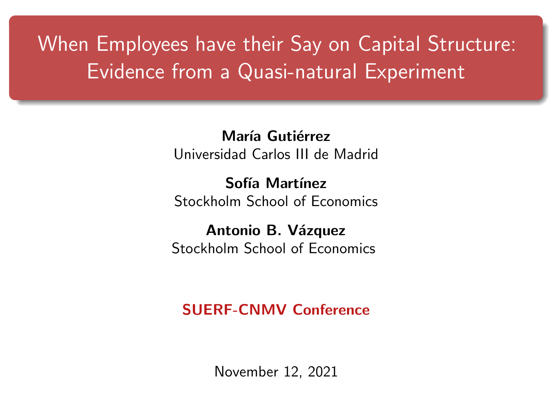## <span id="page-0-0"></span>When Employees have their Say on Capital Structure: Evidence from a Quasi-natural Experiment

María Gutiérrez Universidad Carlos III de Madrid

Sofía Martínez Stockholm School of Economics

Antonio B. Vázquez Stockholm School of Economics

SUERF-CNMV Conference

November 12, 2021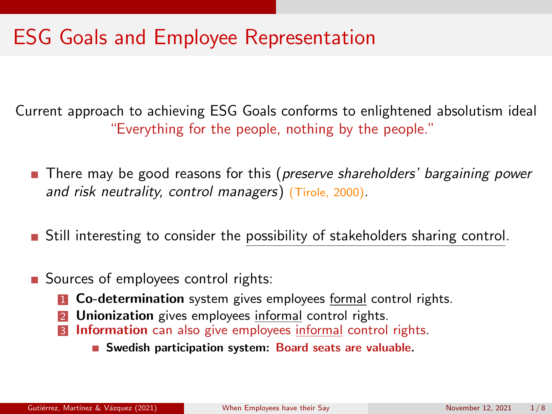### ESG Goals and Employee Representation

Current approach to achieving ESG Goals conforms to enlightened absolutism ideal "Everything for the people, nothing by the people."

- **There may be good reasons for this (preserve shareholders' bargaining power** and risk neutrality, control managers) (Tirole, 2000).
- **Still interesting to consider the possibility of stakeholders sharing control.**
- Sources of employees control rights:
	- **1 Co-determination** system gives employees formal control rights.
	- **2 Unionization** gives employees informal control rights.
	- **3 Information** can also give employees informal control rights.
		- Swedish participation system: Board seats are valuable.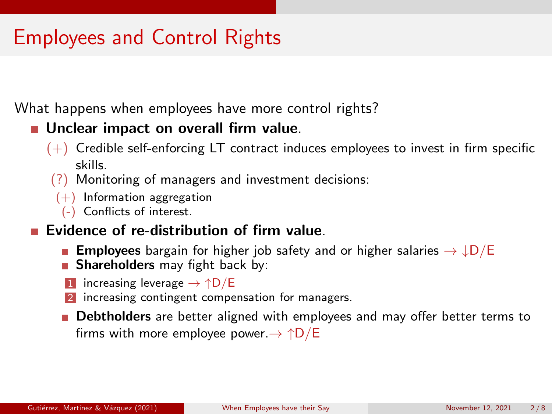## Employees and Control Rights

What happens when employees have more control rights?

#### **Unclear impact on overall firm value.**

- $(+)$  Credible self-enforcing LT contract induces employees to invest in firm specific skills.
- (?) Monitoring of managers and investment decisions:
- $(+)$  Information aggregation
	- (-) Conflicts of interest.

#### **Exidence of re-distribution of firm value.**

- **Employees** bargain for higher job safety and or higher salaries  $\rightarrow \downarrow D/E$
- **Shareholders** may fight back by:
- increasing leverage  $\rightarrow \uparrow D/E$
- increasing contingent compensation for managers.
- **Debtholders** are better aligned with employees and may offer better terms to firms with more employee power. $\rightarrow \uparrow D/E$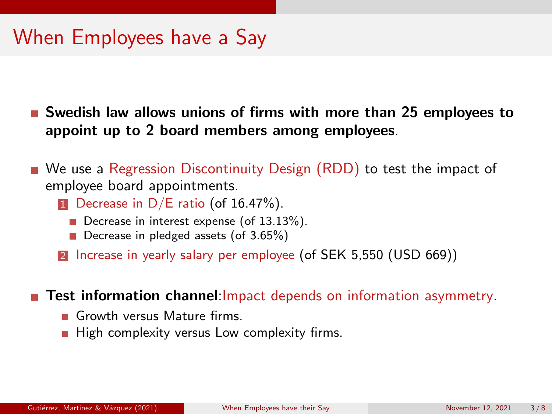### When Employees have a Say

**Swedish law allows unions of firms with more than 25 employees to** appoint up to 2 board members among employees.

- We use a Regression Discontinuity Design (RDD) to test the impact of employee board appointments.
	- **1** Decrease in  $D/E$  ratio (of 16.47%).
		- Decrease in interest expense (of 13.13%).
		- Decrease in pledged assets (of 3.65%)
	- 2 Increase in yearly salary per employee (of SEK 5,550 (USD 669))

**Test information channel:**Impact depends on information asymmetry.

- Growth versus Mature firms.
- $\blacksquare$  High complexity versus Low complexity firms.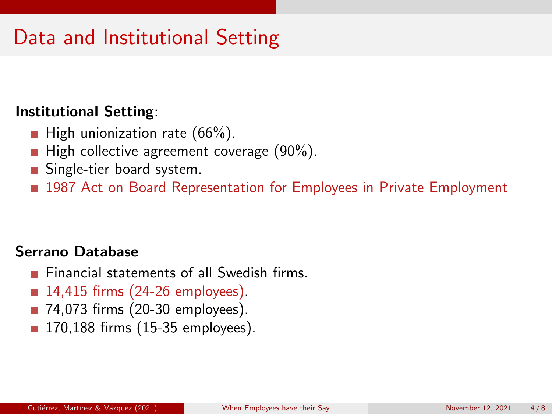## Data and Institutional Setting

#### Institutional Setting:

- **High unionization rate (66%).**
- **High collective agreement coverage (90%).**
- Single-tier board system.
- **1987** Act on Board Representation for Employees in Private Employment

#### Serrano Database

- $\blacksquare$  Financial statements of all Swedish firms.
- 14,415 firms (24-26 employees).
- 74,073 firms (20-30 employees).
- 170,188 firms (15-35 employees).  $\overline{\phantom{a}}$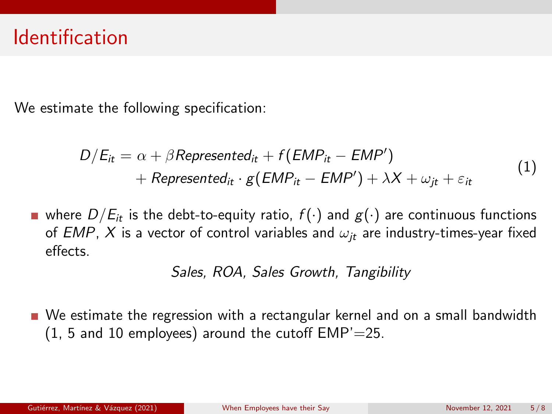### Identification

We estimate the following specification:

$$
D/E_{it} = \alpha + \beta \text{Represented}_{it} + f(\text{EMP}_{it} - \text{EMP}') + \text{Represented}_{it} \cdot g(\text{EMP}_{it} - \text{EMP}') + \lambda X + \omega_{jt} + \varepsilon_{it}
$$
 (1)

where  $D/E_{it}$  is the debt-to-equity ratio,  $f(\cdot)$  and  $g(\cdot)$  are continuous functions of EMP, X is a vector of control variables and  $\omega_{it}$  are industry-times-year fixed effects.

Sales, ROA, Sales Growth, Tangibility

We estimate the regression with a rectangular kernel and on a small bandwidth  $(1, 5, 10)$  employees) around the cutoff EMP'=25.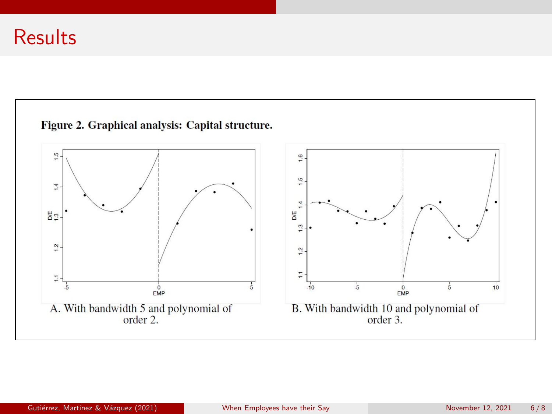### **Results**

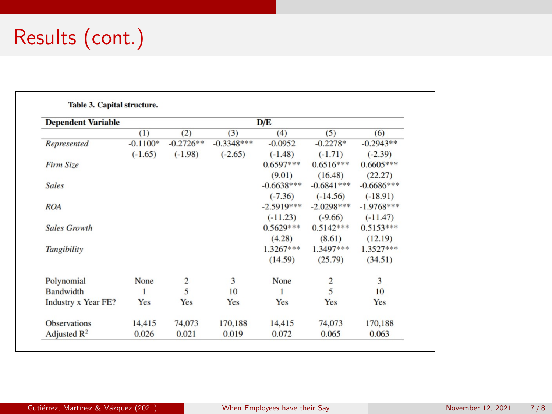# Results (cont.)

| <b>Dependent Variable</b>  | D/E        |                |              |              |                |              |
|----------------------------|------------|----------------|--------------|--------------|----------------|--------------|
|                            | (1)        | (2)            | (3)          | (4)          | (5)            | (6)          |
| Represented                | $-0.1100*$ | $-0.2726**$    | $-0.3348***$ | $-0.0952$    | $-0.2278*$     | $-0.2943**$  |
|                            | $(-1.65)$  | $(-1.98)$      | $(-2.65)$    | $(-1.48)$    | $(-1.71)$      | $(-2.39)$    |
| Firm Size                  |            |                |              | $0.6597***$  | $0.6516***$    | $0.6605***$  |
|                            |            |                |              | (9.01)       | (16.48)        | (22.27)      |
| <b>Sales</b>               |            |                |              | $-0.6638***$ | $-0.6841***$   | $-0.6686***$ |
|                            |            |                |              | $(-7.36)$    | $(-14.56)$     | $(-18.91)$   |
| <b>ROA</b>                 |            |                |              | $-2.5919***$ | $-2.0298***$   | $-1.9768***$ |
|                            |            |                |              | $(-11.23)$   | $(-9.66)$      | $(-11.47)$   |
| <b>Sales Growth</b>        |            |                |              | $0.5629***$  | $0.5142***$    | $0.5153***$  |
|                            |            |                |              | (4.28)       | (8.61)         | (12.19)      |
| <b>Tangibility</b>         |            |                |              | $1.3267***$  | 1.3497 ***     | $1.3527***$  |
|                            |            |                |              | (14.59)      | (25.79)        | (34.51)      |
| Polynomial                 | None       | $\overline{2}$ | 3            | None         | $\overline{c}$ | 3            |
| <b>Bandwidth</b>           | 1          | 5              | 10           | 1            | 5              | 10           |
| <b>Industry x Year FE?</b> | Yes        | Yes            | Yes          | Yes          | Yes            | Yes          |
| <b>Observations</b>        | 14,415     | 74,073         | 170,188      | 14,415       | 74,073         | 170,188      |
| Adjusted $\mathbb{R}^2$    | 0.026      | 0.021          | 0.019        | 0.072        | 0.065          | 0.063        |